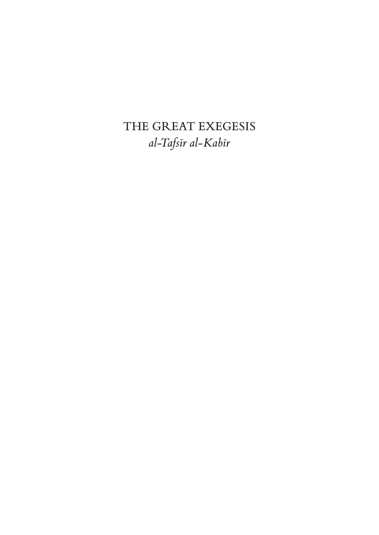THE GREAT EXEGESIS *al-Tafsīr al-Kabīr*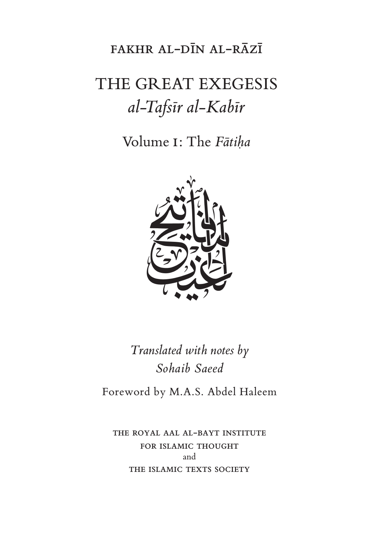# fakhr al-dīn al-rāzī

# THE GREAT EXEGESIS *al-Tafsīr al-Kabīr*

Volume i: The *Fātiḥa*



*Translated with notes by Sohaib Saeed*

Foreword by M.A.S. Abdel Haleem

the royal aal al-bayt institute FOR ISLAMIC THOUGHT and THE ISLAMIC TEXTS SOCIETY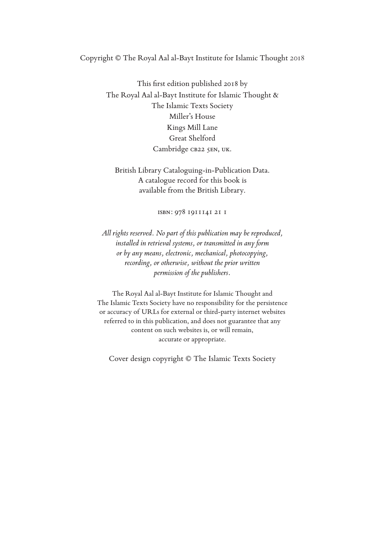#### Copyright © The Royal Aal al-Bayt Institute for Islamic Thought 2018

This frst edition published 2018 by The Royal Aal al-Bayt Institute for Islamic Thought & The Islamic Texts Society Miller's House Kings Mill Lane Great Shelford Cambridge CB22 5EN, UK.

British Library Cataloguing-in-Publication Data. A catalogue record for this book is available from the British Library.

isbn: 978 1911141 21 1

*All rights reserved. No part of this publication may be reproduced, installed in retrieval systems, or transmitted in any form or by any means, electronic, mechanical, photocopying, recording, or otherwise, without the prior written permission of the publishers.*

The Royal Aal al-Bayt Institute for Islamic Thought and The Islamic Texts Society have no responsibility for the persistence or accuracy of URLs for external or third-party internet websites referred to in this publication, and does not guarantee that any content on such websites is, or will remain, accurate or appropriate.

Cover design copyright © The Islamic Texts Society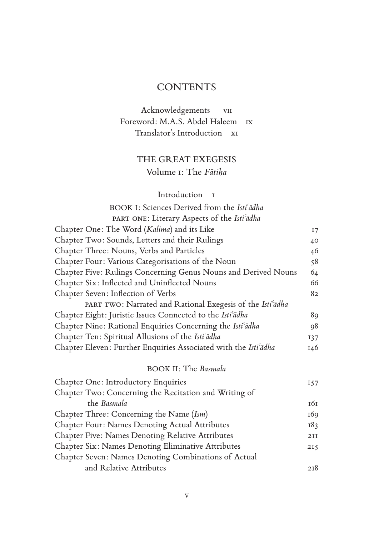# **CONTENTS**

# Acknowledgements vii Foreword: M.A.S. Abdel Haleem ix Translator's Introduction xi

# THE GREAT EXEGESIS Volume i: The *Fātiḥa*

## Introduction 1

| BOOK I: Sciences Derived from the Isti <sup>c</sup> adha |
|----------------------------------------------------------|
| PART ONE: Literary Aspects of the Isti <sup>c</sup> adha |

| $\frac{1}{1000}$ $\frac{1}{1000}$ $\frac{1}{1000}$ $\frac{1}{1000}$ $\frac{1}{1000}$ $\frac{1}{1000}$                 |         |
|-----------------------------------------------------------------------------------------------------------------------|---------|
| Chapter One: The Word (Kalima) and its Like                                                                           | $17 \,$ |
| Chapter Two: Sounds, Letters and their Rulings                                                                        | 40      |
| Chapter Three: Nouns, Verbs and Particles                                                                             | 46      |
| Chapter Four: Various Categorisations of the Noun                                                                     | 58      |
| Chapter Five: Rulings Concerning Genus Nouns and Derived Nouns                                                        | 64      |
| Chapter Six: Inflected and Uninflected Nouns                                                                          | 66      |
| Chapter Seven: Inflection of Verbs                                                                                    | 82      |
| PART TWO: Narrated and Rational Exegesis of the Isti <sup>c</sup> adha                                                |         |
| Chapter Eight: Juristic Issues Connected to the Isti <sup>c</sup> adha                                                | 89      |
| Chapter Nine: Rational Enquiries Concerning the Isti <sup>c</sup> adha                                                | 98      |
| Chapter Ten: Spiritual Allusions of the Isti <sup>cadha</sup>                                                         | 137     |
| Chapter Eleven: Further Enquiries Associated with the Isti <sup>c</sup> adha                                          | 146     |
| <b>BOOK II: The Basmala</b>                                                                                           |         |
| <b>Chapter One: Introductory Enquiries</b><br>$\Omega$ $\Gamma$ $\Omega$ $\Omega$ $\Gamma$ $\Gamma$ $\Gamma$ $\Gamma$ | 157     |

| Chapter Two: Concerning the Recitation and Writing of   |     |
|---------------------------------------------------------|-----|
| the Basmala                                             | 161 |
| Chapter Three: Concerning the Name (Ism)                | 169 |
| <b>Chapter Four: Names Denoting Actual Attributes</b>   | 183 |
| <b>Chapter Five: Names Denoting Relative Attributes</b> | 2II |
| Chapter Six: Names Denoting Eliminative Attributes      | 215 |
| Chapter Seven: Names Denoting Combinations of Actual    |     |
| and Relative Attributes                                 | 2I8 |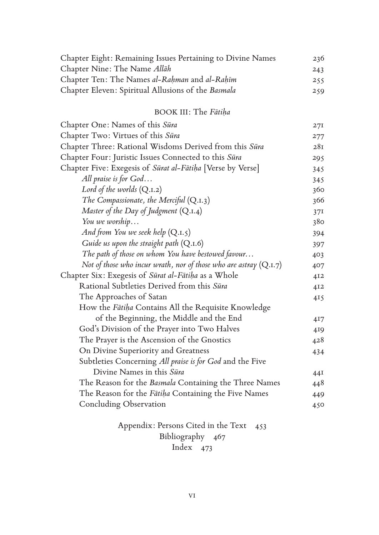| Chapter Eight: Remaining Issues Pertaining to Divine Names<br>Chapter Nine: The Name Allah | 236 |
|--------------------------------------------------------------------------------------------|-----|
|                                                                                            | 243 |
| Chapter Ten: The Names al-Rahman and al-Rahīm                                              | 255 |
| Chapter Eleven: Spiritual Allusions of the Basmala                                         | 259 |

# BOOK III: The *Fātiḥa*

| Chapter One: Names of this Sūra                                     | 27I             |
|---------------------------------------------------------------------|-----------------|
| Chapter Two: Virtues of this Sūra                                   | 277             |
| Chapter Three: Rational Wisdoms Derived from this Sūra              | 28I             |
| Chapter Four: Juristic Issues Connected to this Sūra                | 295             |
| Chapter Five: Exegesis of Sūrat al-Fātiḥa [Verse by Verse]          | 345             |
| All praise is for God                                               | 345             |
| Lord of the worlds $(Q_{.1.2})$                                     | 360             |
| The Compassionate, the Merciful $(Q.I.3)$                           | 366             |
| Master of the Day of Judgment $(Q.I.4)$                             | 37I             |
| You we worship                                                      | 380             |
| And from You we seek help $(Q.I.5)$                                 | 394             |
| Guide us upon the straight path $(Q.I.6)$                           | 397             |
| The path of those on whom You have bestowed favour                  | 403             |
| Not of those who incur wrath, nor of those who are astray $(Q.I.7)$ | 407             |
| Chapter Six: Exegesis of Sūrat al-Fātiha as a Whole                 | 412             |
| Rational Subtleties Derived from this Sūra                          | 412             |
| The Approaches of Satan                                             | 415             |
| How the Fātiha Contains All the Requisite Knowledge                 |                 |
| of the Beginning, the Middle and the End                            | 4 <sub>17</sub> |
| God's Division of the Prayer into Two Halves                        | 419             |
| The Prayer is the Ascension of the Gnostics                         | 428             |
| On Divine Superiority and Greatness                                 | 434             |
| Subtleties Concerning All praise is for God and the Five            |                 |
| Divine Names in this Sūra                                           | 44I             |
| The Reason for the Basmala Containing the Three Names               | 448             |
| The Reason for the Fātiha Containing the Five Names                 | 449             |
| <b>Concluding Observation</b>                                       | 450             |
| Annopolize Dorsons Citad in the Toye 450                            |                 |

Appendix: Persons Cited in the Text 453 Bibliography 467 Index 473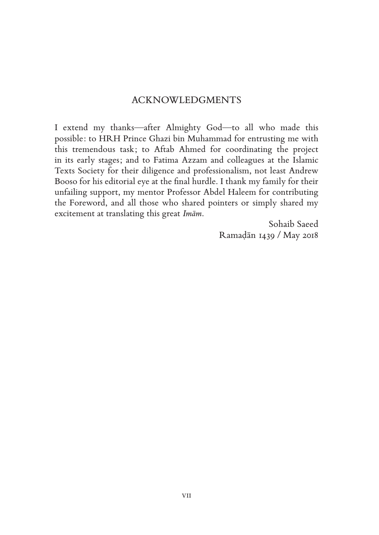### ACKNOWLEDGMENTS

I extend my thanks—after Almighty God—to all who made this possible: to HRH Prince Ghazi bin Muhammad for entrusting me with this tremendous task; to Aftab Ahmed for coordinating the project in its early stages; and to Fatima Azzam and colleagues at the Islamic Texts Society for their diligence and professionalism, not least Andrew Booso for his editorial eye at the fnal hurdle. I thank my family for their unfailing support, my mentor Professor Abdel Haleem for contributing the Foreword, and all those who shared pointers or simply shared my excitement at translating this great *Imām*.

> Sohaib Saeed Ramaḍān 1439 / May 2018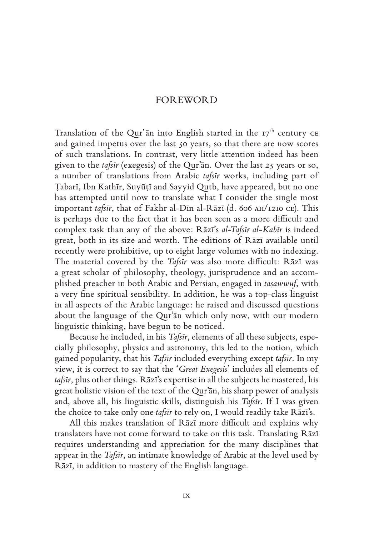#### FOREWORD

Translation of the Qur'an into English started in the  $17<sup>th</sup>$  century CE and gained impetus over the last 50 years, so that there are now scores of such translations. In contrast, very little attention indeed has been given to the *tafsīr* (exegesis) of the Qur'ān. Over the last 25 years or so, a number of translations from Arabic *tafsīr* works, including part of Ṭabarī, Ibn Kathīr, Suyūṭī and Sayyid Qutb, have appeared, but no one has attempted until now to translate what I consider the single most important *tafsīr*, that of Fakhr al-Dīn al-Rāzī (d. 606 ah/1210 ce). This is perhaps due to the fact that it has been seen as a more difficult and complex task than any of the above: Rāzī's *al-Tafsīr al-Kabīr* is indeed great, both in its size and worth. The editions of Rāzī available until recently were prohibitive, up to eight large volumes with no indexing. The material covered by the *Tafsīr* was also more difficult: Rāzī was a great scholar of philosophy, theology, jurisprudence and an accomplished preacher in both Arabic and Persian, engaged in *taṣawwuf*, with a very fne spiritual sensibility. In addition, he was a top-class linguist in all aspects of the Arabic language: he raised and discussed questions about the language of the Qur'ān which only now, with our modern linguistic thinking, have begun to be noticed.

Because he included, in his *Tafsīr*, elements of all these subjects, especially philosophy, physics and astronomy, this led to the notion, which gained popularity, that his *Tafsīr* included everything except *tafsīr*. In my view, it is correct to say that the '*Great Exegesis*' includes all elements of *tafsīr*, plus other things. Rāzī's expertise in all the subjects he mastered, his great holistic vision of the text of the Qur'ān, his sharp power of analysis and, above all, his linguistic skills, distinguish his *Tafsīr*. If I was given the choice to take only one *tafsīr* to rely on, I would readily take Rāzī's.

All this makes translation of Rāzī more difficult and explains why translators have not come forward to take on this task. Translating Rāzī requires understanding and appreciation for the many disciplines that appear in the *Tafsīr*, an intimate knowledge of Arabic at the level used by Rāzī, in addition to mastery of the English language.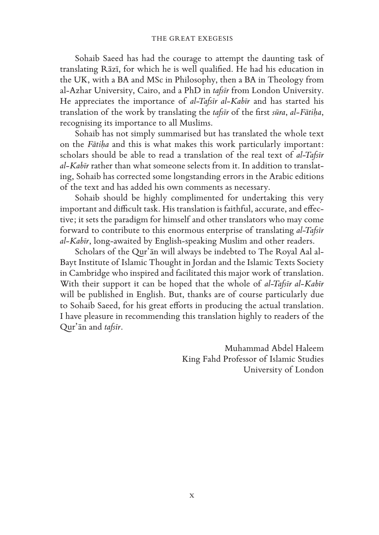Sohaib Saeed has had the courage to attempt the daunting task of translating Rāzī, for which he is well qualifed. He had his education in the UK, with a BA and MSc in Philosophy, then a BA in Theology from al-Azhar University, Cairo, and a PhD in *tafsīr* from London University. He appreciates the importance of *al-Tafsīr al-Kabīr* and has started his translation of the work by translating the *tafsīr* of the frst *sūra*, *al-Fātiḥa*, recognising its importance to all Muslims.

Sohaib has not simply summarised but has translated the whole text on the *Fātiḥa* and this is what makes this work particularly important: scholars should be able to read a translation of the real text of *al-Tafsīr al-Kabīr* rather than what someone selects from it. In addition to translating, Sohaib has corrected some longstanding errors in the Arabic editions of the text and has added his own comments as necessary.

Sohaib should be highly complimented for undertaking this very important and difficult task. His translation is faithful, accurate, and effective; it sets the paradigm for himself and other translators who may come forward to contribute to this enormous enterprise of translating *al-Tafsīr al-Kabīr*, long-awaited by English-speaking Muslim and other readers.

Scholars of the Qur'ān will always be indebted to The Royal Aal al-Bayt Institute of Islamic Thought in Jordan and the Islamic Texts Society in Cambridge who inspired and facilitated this major work of translation. With their support it can be hoped that the whole of *al-Tafsīr al-Kabīr* will be published in English. But, thanks are of course particularly due to Sohaib Saeed, for his great efforts in producing the actual translation. I have pleasure in recommending this translation highly to readers of the Qur'ān and *tafsīr*.

> Muhammad Abdel Haleem King Fahd Professor of Islamic Studies University of London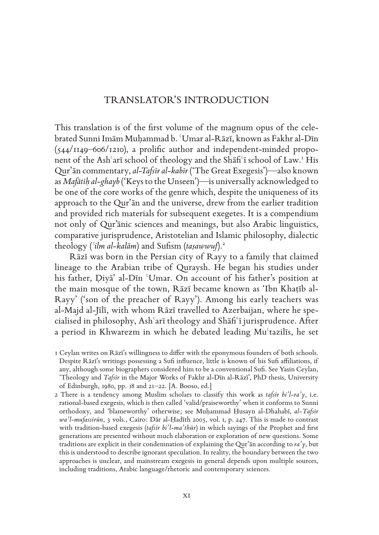# TRANSLATOR'S INTRODUCTION

This translation is of the frst volume of the magnum opus of the celebrated Sunni Imām Muḥammad b. ʿUmar al-Rāzī, known as Fakhr al-Dīn  $(544/1149-606/1210)$ , a prolific author and independent-minded proponent of the Ashʿarī school of theology and the Shāfiʿī school of Law.<sup>1</sup> His Qurʾān commentary, *al-Tafsīr al-kabīr* ('The Great Exegesis')—also known as *Mafātīḥ al-ghayb* ('Keys to the Unseen')—is universally acknowledged to be one of the core works of the genre which, despite the uniqueness of its approach to the Qurʾān and the universe, drew from the earlier tradition and provided rich materials for subsequent exegetes. It is a compendium not only of Qur'ānic sciences and meanings, but also Arabic linguistics, comparative jurisprudence, Aristotelian and Islamic philosophy, dialectic theology (*ʿilm al-kalām*) and Sufsm (*taṣawwuf*).<sup>2</sup>

Rāzī was born in the Persian city of Rayy to a family that claimed lineage to the Arabian tribe of Quraysh. He began his studies under his father, Ḍiyāʾ al-Dīn ʿUmar. On account of his father's position at the main mosque of the town, Rāzī became known as 'Ibn Khaṭīb al-Rayy' ('son of the preacher of Rayy'). Among his early teachers was al-Majd al-Jīlī, with whom Rāzī travelled to Azerbaijan, where he specialised in philosophy, Ashʿarī theology and Shāfʿī jurisprudence. After a period in Khwarezm in which he debated leading Muʿtazilīs, he set

2 There is a tendency among Muslim scholars to classify this work as *tafsīr bi'l-raʾy*, i.e. rational-based exegesis, which is then called 'valid/praiseworthy' when it conforms to Sunni orthodoxy, and 'blameworthy' otherwise; see Muḥammad Ḥusayn al-Dhahabī, *al-Tafsīr wa'l-mufassirūn*, 3 vols., Cairo: Dār al-Ḥadīth 2005, vol. i, p. 247. This is made to contrast with tradition-based exegesis (*tafsīr bi'l-maʾthūr*) in which sayings of the Prophet and frst generations are presented without much elaboration or exploration of new questions. Some traditions are explicit in their condemnation of explaining the Qurʾān according to *raʾy*, but this is understood to describe ignorant speculation. In reality, the boundary between the two approaches is unclear, and mainstream exegesis in general depends upon multiple sources, including traditions, Arabic language/rhetoric and contemporary sciences.

<sup>1</sup> Ceylan writes on Rāzī's willingness to difer with the eponymous founders of both schools. Despite Rāzī's writings possessing a Suf infuence, little is known of his Suf afliations, if any, although some biographers considered him to be a conventional Suf. See Yasin Ceylan, 'Theology and *Tafsīr* in the Major Works of Fakhr al-Dīn al-Rāzī', PhD thesis, University of Edinburgh, 1980, pp. 18 and 21–22. [A. Booso, ed.]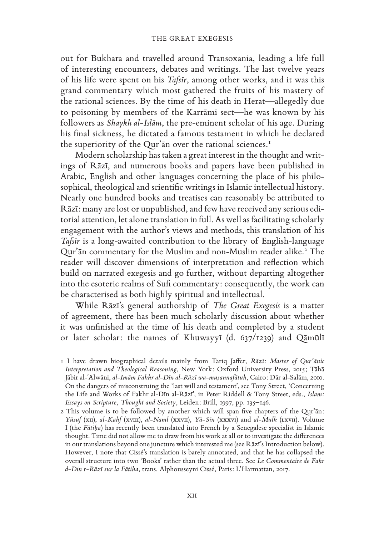out for Bukhara and travelled around Transoxania, leading a life full of interesting encounters, debates and writings. The last twelve years of his life were spent on his *Tafsīr*, among other works, and it was this grand commentary which most gathered the fruits of his mastery of the rational sciences. By the time of his death in Herat—allegedly due to poisoning by members of the Karrāmī sect—he was known by his followers as *Shaykh al-Islām*, the pre-eminent scholar of his age. During his fnal sickness, he dictated a famous testament in which he declared the superiority of the Qur'an over the rational sciences.<sup>1</sup>

Modern scholarship has taken a great interest in the thought and writings of Rāzī, and numerous books and papers have been published in Arabic, English and other languages concerning the place of his philosophical, theological and scientifc writings in Islamic intellectual history. Nearly one hundred books and treatises can reasonably be attributed to Rāzī: many are lost or unpublished, and few have received any serious editorial attention, let alone translation in full. As well as facilitating scholarly engagement with the author's views and methods, this translation of his *Tafsīr* is a long-awaited contribution to the library of English-language Qur'an commentary for the Muslim and non-Muslim reader alike.<sup>2</sup> The reader will discover dimensions of interpretation and refection which build on narrated exegesis and go further, without departing altogether into the esoteric realms of Sufi commentary: consequently, the work can be characterised as both highly spiritual and intellectual.

While Rāzī's general authorship of *The Great Exegesis* is a matter of agreement, there has been much scholarly discussion about whether it was unfnished at the time of his death and completed by a student or later scholar: the names of Khuwayyī (d. 637/1239) and Qāmūlī

<sup>1</sup> I have drawn biographical details mainly from Tariq Jafer, *Rāzī: Master of Qur'ānic Interpretation and Theological Reasoning*, New York: Oxford University Press, 2015; Ṭāhā Jābir al-ʿAlwāni, *al-Imām Fakhr al-Dīn al-Rāzī wa-muṣannafātuh*, Cairo: Dār al-Salām, 2010. On the dangers of misconstruing the 'last will and testament', see Tony Street, 'Concerning the Life and Works of Fakhr al-Dīn al-Rāzī', in Peter Riddell & Tony Street, eds., *Islam: Essays on Scripture, Thought and Society*, Leiden: Brill, 1997, pp. 135–146.

<sup>2</sup> This volume is to be followed by another which will span fve chapters of the Qurʾān: *Yūsuf* (xii), *al-Kahf* (xviii), *al-Naml* (xxvii), *Yā-Sīn* (xxxvi) and *al-Mulk* (lxvii). Volume I (the *Fātiḥa*) has recently been translated into French by a Senegalese specialist in Islamic thought. Time did not allow me to draw from his work at all or to investigate the diferences in our translations beyond one juncture which interested me (see Rāzī's Introduction below). However, I note that Cissé's translation is barely annotated, and that he has collapsed the overall structure into two 'Books' rather than the actual three. See *Le Commentaire de Fahr d-Din r-Rāzī sur la Fātiha*, trans. Alphousseyni Cissé, Paris: L'Harmattan, 2017.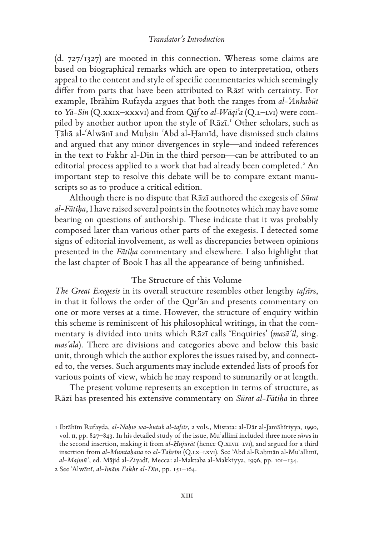#### *Translator's Introduction*

(d. 727/1327) are mooted in this connection. Whereas some claims are based on biographical remarks which are open to interpretation, others appeal to the content and style of specifc commentaries which seemingly difer from parts that have been attributed to Rāzī with certainty. For example, Ibrāhīm Rufayda argues that both the ranges from *al-ʿAnkabūt*  to *Yā-Sīn* (Q.xxix–xxxvi) and from *Qāf* to *al-Wāqiʿa* (Q.l–lvi) were compiled by another author upon the style of Rāzī. 1 Other scholars, such as Ṭāhā al-ʿAlwānī and Muḥsin ʿAbd al-Ḥamīd, have dismissed such claims and argued that any minor divergences in style—and indeed references in the text to Fakhr al-Dīn in the third person—can be attributed to an editorial process applied to a work that had already been completed.<sup>2</sup> An important step to resolve this debate will be to compare extant manuscripts so as to produce a critical edition.

Although there is no dispute that Rāzī authored the exegesis of *Sūrat al-Fātiḥa*, I have raised several points in the footnotes which may have some bearing on questions of authorship. These indicate that it was probably composed later than various other parts of the exegesis. I detected some signs of editorial involvement, as well as discrepancies between opinions presented in the *Fātiḥa* commentary and elsewhere. I also highlight that the last chapter of Book I has all the appearance of being unfnished.

#### The Structure of this Volume

*The Great Exegesis* in its overall structure resembles other lengthy *tafsīr*s, in that it follows the order of the Qurʾān and presents commentary on one or more verses at a time. However, the structure of enquiry within this scheme is reminiscent of his philosophical writings, in that the commentary is divided into units which Rāzī calls 'Enquiries' (*masāʾil*, sing. *masʾala*). There are divisions and categories above and below this basic unit, through which the author explores the issues raised by, and connected to, the verses. Such arguments may include extended lists of proofs for various points of view, which he may respond to summarily or at length.

The present volume represents an exception in terms of structure, as Rāzī has presented his extensive commentary on *Sūrat al-Fātiḥa* in three

2 See ʿAlwānī, *al-Imām Fakhr al-Dīn*, pp. 151–164.

<sup>1</sup> Ibrāhīm Rufayda, *al-Naḥw wa-kutub al-tafsīr*, 2 vols., Misrata: al-Dār al-Jamāhīriyya, 1990, vol. ii, pp. 827–843. In his detailed study of the issue, Muʿallimī included three more *sūra*s in the second insertion, making it from *al-Ḥujurāt* (hence Q.xlvii–lvi), and argued for a third insertion from *al-Mumtaḥana* to *al-Taḥrīm* (Q.lx–lxvi). See ʿAbd al-Raḥmān al-Muʿallimī, *al-Majmūʿ*, ed. Mājid al-Ziyadī, Mecca: al-Maktaba al-Makkiyya, 1996, pp. 101–134.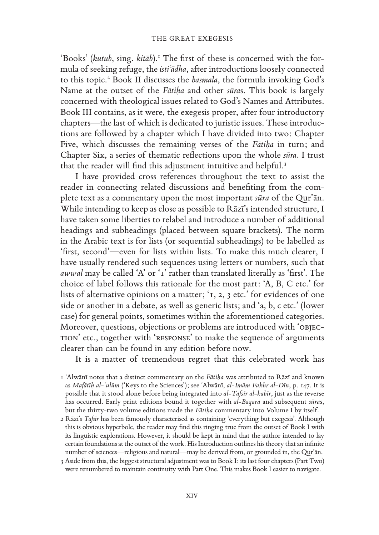'Books' (kutub, sing. kitāb).<sup>1</sup> The first of these is concerned with the formula of seeking refuge, the *istiʿādha*, after introductions loosely connected to this topic.<sup>2</sup> Book II discusses the *basmala*, the formula invoking God's Name at the outset of the *Fātiḥa* and other *sūra*s. This book is largely concerned with theological issues related to God's Names and Attributes. Book III contains, as it were, the exegesis proper, after four introductory chapters—the last of which is dedicated to juristic issues. These introductions are followed by a chapter which I have divided into two: Chapter Five, which discusses the remaining verses of the *Fātiḥa* in turn; and Chapter Six, a series of thematic refections upon the whole *sūra*. I trust that the reader will find this adjustment intuitive and helpful.<sup>3</sup>

I have provided cross references throughout the text to assist the reader in connecting related discussions and benefting from the complete text as a commentary upon the most important *sūra* of the Qurʾān. While intending to keep as close as possible to Rāzī's intended structure, I have taken some liberties to relabel and introduce a number of additional headings and subheadings (placed between square brackets). The norm in the Arabic text is for lists (or sequential subheadings) to be labelled as 'frst, second'—even for lists within lists. To make this much clearer, I have usually rendered such sequences using letters or numbers, such that *awwal* may be called 'A' or '1' rather than translated literally as 'frst'. The choice of label follows this rationale for the most part: 'A, B, C etc.' for lists of alternative opinions on a matter; '1, 2, 3 etc.' for evidences of one side or another in a debate, as well as generic lists; and 'a, b, c etc.' (lower case) for general points, sometimes within the aforementioned categories. Moreover, questions, objections or problems are introduced with 'objection' etc., together with 'response' to make the sequence of arguments clearer than can be found in any edition before now.

It is a matter of tremendous regret that this celebrated work has

1 ʿAlwānī notes that a distinct commentary on the *Fātiḥa* was attributed to Rāzī and known as *Mafātīḥ al-ʿulūm* ('Keys to the Sciences'); see ʿAlwānī, *al-Imām Fakhr al-Dīn*, p. 147. It is possible that it stood alone before being integrated into *al-Tafsīr al-kabīr*, just as the reverse has occurred. Early print editions bound it together with *al-Baqara* and subsequent *sūra*s, but the thirty-two volume editions made the *Fātiḥa* commentary into Volume I by itself.

2 Rāzī's *Tafsīr* has been famously characterised as containing 'everything but exegesis'. Although this is obvious hyperbole, the reader may fnd this ringing true from the outset of Book I with its linguistic explorations. However, it should be kept in mind that the author intended to lay certain foundations at the outset of the work. His Introduction outlines his theory that an infnite number of sciences—religious and natural—may be derived from, or grounded in, the Qurʾān.

3 Aside from this, the biggest structural adjustment was to Book I: its last four chapters (Part Two) were renumbered to maintain continuity with Part One. This makes Book I easier to navigate.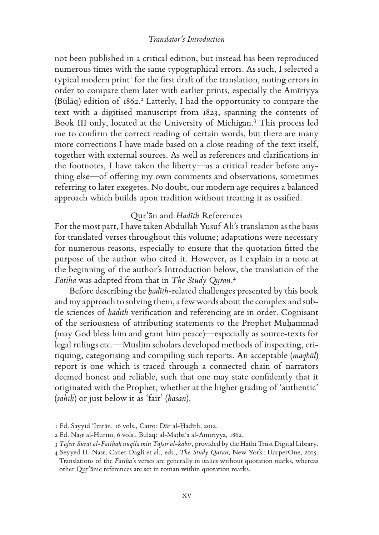#### *Translator's Introduction*

not been published in a critical edition, but instead has been reproduced numerous times with the same typographical errors. As such, I selected a typical modern print<sup>1</sup> for the first draft of the translation, noting errors in order to compare them later with earlier prints, especially the Amīriyya (Būlāq) edition of 1862. 2 Latterly, I had the opportunity to compare the text with a digitised manuscript from 1823, spanning the contents of Book III only, located at the University of Michigan.<sup>3</sup> This process led me to confrm the correct reading of certain words, but there are many more corrections I have made based on a close reading of the text itself, together with external sources. As well as references and clarifcations in the footnotes, I have taken the liberty—as a critical reader before anything else—of offering my own comments and observations, sometimes referring to later exegetes. No doubt, our modern age requires a balanced approach which builds upon tradition without treating it as ossifed.

#### Qurʾān and *Ḥadīth* References

For the most part, I have taken Abdullah Yusuf Ali's translation as the basis for translated verses throughout this volume; adaptations were necessary for numerous reasons, especially to ensure that the quotation ftted the purpose of the author who cited it. However, as I explain in a note at the beginning of the author's Introduction below, the translation of the *Fātiḥa* was adapted from that in *The Study Quran*. 4

Before describing the *ḥadīth*-related challenges presented by this book and my approach to solving them, a few words about the complex and subtle sciences of *ḥadīth* verifcation and referencing are in order. Cognisant of the seriousness of attributing statements to the Prophet Muḥammad (may God bless him and grant him peace)—especially as source-texts for legal rulings etc.—Muslim scholars developed methods of inspecting, critiquing, categorising and compiling such reports. An acceptable (*maqbūl*) report is one which is traced through a connected chain of narrators deemed honest and reliable, such that one may state confdently that it originated with the Prophet, whether at the higher grading of 'authentic' (*ṣaḥīḥ*) or just below it as 'fair' (*ḥasan*).

<sup>1</sup> Ed. Sayyid ʿImrān, 16 vols., Cairo: Dār al-Ḥadīth, 2012.

<sup>2</sup> Ed. Naṣr al-Hūrīnī, 6 vols., Būlāq: al-Maṭbaʿa al-Amīriyya, 1862.

<sup>3</sup> *Tafsīr Sūrat al-Fātiḥah nuqila min Tafsīr al-kabīr*, provided by the Hathi Trust Digital Library.

<sup>4</sup> Seyyed H. Nasr, Caner Dagli et al., eds., *The Study Quran*, New York: HarperOne, 2015. Translations of the *Fātiḥa*'s verses are generally in italics without quotation marks, whereas other Qurʾānic references are set in roman within quotation marks.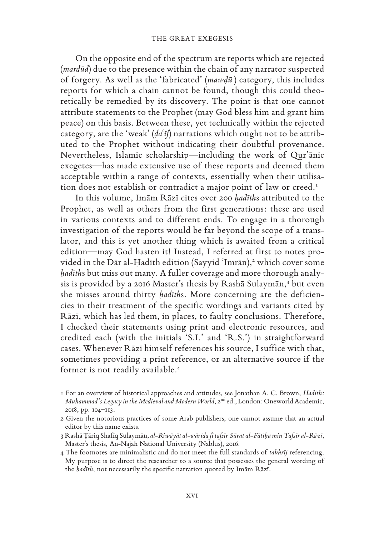On the opposite end of the spectrum are reports which are rejected (*mardūd*) due to the presence within the chain of any narrator suspected of forgery. As well as the 'fabricated' (*mawḍūʿ*) category, this includes reports for which a chain cannot be found, though this could theoretically be remedied by its discovery. The point is that one cannot attribute statements to the Prophet (may God bless him and grant him peace) on this basis. Between these, yet technically within the rejected category, are the 'weak' (*ḍaʿīf*) narrations which ought not to be attributed to the Prophet without indicating their doubtful provenance. Nevertheless, Islamic scholarship—including the work of Qurʾānic exegetes—has made extensive use of these reports and deemed them acceptable within a range of contexts, essentially when their utilisation does not establish or contradict a major point of law or creed.<sup>1</sup>

In this volume, Imām Rāzī cites over 200 *ḥadīth*s attributed to the Prophet, as well as others from the first generations: these are used in various contexts and to different ends. To engage in a thorough investigation of the reports would be far beyond the scope of a translator, and this is yet another thing which is awaited from a critical edition—may God hasten it! Instead, I referred at first to notes provided in the Dār al-Ḥadīth edition (Sayyid 'Imrān),<sup>2</sup> which cover some *ḥadīth*s but miss out many. A fuller coverage and more thorough analysis is provided by a 2016 Master's thesis by Rashā Sulaymān,<sup>3</sup> but even she misses around thirty *ḥadīth*s. More concerning are the deficiencies in their treatment of the specific wordings and variants cited by Rāzī, which has led them, in places, to faulty conclusions. Therefore, I checked their statements using print and electronic resources, and credited each (with the initials 'S.I.' and 'R.S.') in straightforward cases. Whenever Rāzī himself references his source, I suffice with that, sometimes providing a print reference, or an alternative source if the former is not readily available.<sup>4</sup>

<sup>1</sup> For an overview of historical approaches and attitudes, see Jonathan A. C. Brown, *Hadith: Muhammad's Legacy in the Medieval and Modern World*, 2<sup>nd</sup> ed., London: Oneworld Academic, 2018, pp. 104–113.

<sup>2</sup> Given the notorious practices of some Arab publishers, one cannot assume that an actual editor by this name exists.

<sup>3</sup> Rashā Țāriq Shafiq Sulaymān, al-Riwāyāt al-wārida fī tafsīr Sūrat al-Fātiha min Tafsīr al-Rāzī, Master's thesis, An-Najah National University (Nablus), 2016.

<sup>4</sup> The footnotes are minimalistic and do not meet the full standards of *takhrīj* referencing. My purpose is to direct the researcher to a source that possesses the general wording of the *ḥadīth*, not necessarily the specifc narration quoted by Imām Rāzī.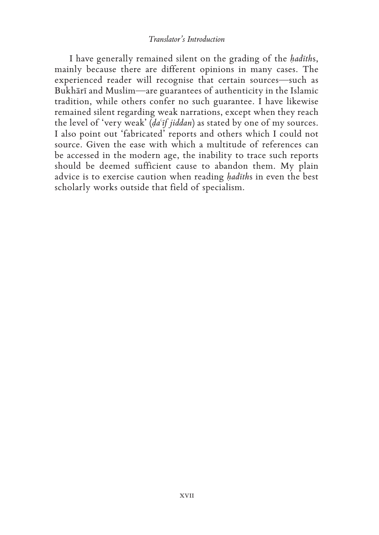#### *Translator's Introduction*

I have generally remained silent on the grading of the *ḥadīth*s, mainly because there are different opinions in many cases. The experienced reader will recognise that certain sources—such as Bukhārī and Muslim—are guarantees of authenticity in the Islamic tradition, while others confer no such guarantee. I have likewise remained silent regarding weak narrations, except when they reach the level of 'very weak' (*ḍaʿīf jiddan*) as stated by one of my sources. I also point out 'fabricated' reports and others which I could not source. Given the ease with which a multitude of references can be accessed in the modern age, the inability to trace such reports should be deemed sufficient cause to abandon them. My plain advice is to exercise caution when reading *ḥadīth*s in even the best scholarly works outside that field of specialism.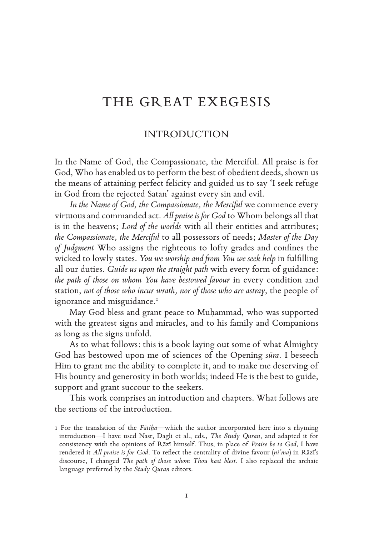# THE GREAT EXEGESIS

#### INTRODUCTION

In the Name of God, the Compassionate, the Merciful. All praise is for God, Who has enabled us to perform the best of obedient deeds, shown us the means of attaining perfect felicity and guided us to say 'I seek refuge in God from the rejected Satan' against every sin and evil.

*In the Name of God, the Compassionate, the Merciful* we commence every virtuous and commanded act. *All praise is for God* to Whom belongs all that is in the heavens; *Lord of the worlds* with all their entities and attributes; *the Compassionate, the Merciful* to all possessors of needs; *Master of the Day of Judgment* Who assigns the righteous to lofty grades and confnes the wicked to lowly states. *You we worship and from You we seek help* in fulflling all our duties. *Guide us upon the straight path* with every form of guidance: *the path of those on whom You have bestowed favour* in every condition and station, *not of those who incur wrath, nor of those who are astray*, the people of ignorance and misguidance.<sup>1</sup>

May God bless and grant peace to Muḥammad, who was supported with the greatest signs and miracles, and to his family and Companions as long as the signs unfold.

As to what follows: this is a book laying out some of what Almighty God has bestowed upon me of sciences of the Opening *sūra*. I beseech Him to grant me the ability to complete it, and to make me deserving of His bounty and generosity in both worlds; indeed He is the best to guide, support and grant succour to the seekers.

This work comprises an introduction and chapters. What follows are the sections of the introduction.

<sup>1</sup> For the translation of the *Fātiḥa*—which the author incorporated here into a rhyming introduction—I have used Nasr, Dagli et al., eds., *The Study Quran*, and adapted it for consistency with the opinions of Rāzī himself. Thus, in place of *Praise be to God*, I have rendered it *All praise is for God*. To refect the centrality of divine favour (*niʿma*) in Rāzī's discourse, I changed *The path of those whom Thou hast blest*. I also replaced the archaic language preferred by the *Study Quran* editors.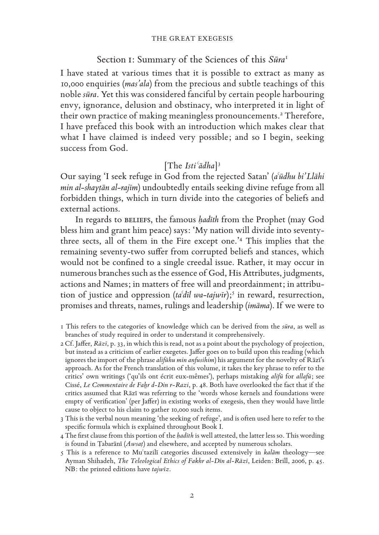#### THE GREAT EXEGESIS

#### Section i: Summary of the Sciences of this *Sūra*<sup>1</sup>

I have stated at various times that it is possible to extract as many as 10,000 enquiries (*masʾala*) from the precious and subtle teachings of this noble *sūra*. Yet this was considered fanciful by certain people harbouring envy, ignorance, delusion and obstinacy, who interpreted it in light of their own practice of making meaningless pronouncements.<sup>2</sup> Therefore, I have prefaced this book with an introduction which makes clear that what I have claimed is indeed very possible; and so I begin, seeking success from God.

## [The *Istiʿādha*] 3

Our saying 'I seek refuge in God from the rejected Satan' (*aʿūdhu bi'Llāhi min al-shayṭān al-rajīm*) undoubtedly entails seeking divine refuge from all forbidden things, which in turn divide into the categories of beliefs and external actions.

In regards to BELIEFS, the famous *hadith* from the Prophet (may God bless him and grant him peace) says: 'My nation will divide into seventythree sects, all of them in the Fire except one.'<sup>4</sup> This implies that the remaining seventy-two sufer from corrupted beliefs and stances, which would not be confned to a single creedal issue. Rather, it may occur in numerous branches such as the essence of God, His Attributes, judgments, actions and Names; in matters of free will and preordainment; in attribution of justice and oppression (*taʿdīl wa-tajwīr*);<sup>5</sup> in reward, resurrection, promises and threats, names, rulings and leadership (*imāma*). If we were to

1 This refers to the categories of knowledge which can be derived from the *sūra*, as well as branches of study required in order to understand it comprehensively.

2 Cf. Jafer, *Rāzī*, p. 33, in which this is read, not as a point about the psychology of projection, but instead as a criticism of earlier exegetes. Jafer goes on to build upon this reading (which ignores the import of the phrase *alifūhu min anfusihim*) his argument for the novelty of Rāzī's approach. As for the French translation of this volume, it takes the key phrase to refer to the critics' own writings ('qu'ils ont écrit eux-mêmes'), perhaps mistaking *alifū* for *allafū*; see Cissé, *Le Commentaire de Fahr d-Din r-Razi*, p. 48. Both have overlooked the fact that if the critics assumed that Rāzī was referring to the 'words whose kernels and foundations were empty of verifcation' (per Jafer) in existing works of exegesis, then they would have little cause to object to his claim to gather 10,000 such items.

3 This is the verbal noun meaning 'the seeking of refuge', and is often used here to refer to the specifc formula which is explained throughout Book I.

4 The frst clause from this portion of the *ḥadīth* is well attested, the latter less so. This wording is found in Ṭabarānī (*Awsaṭ*) and elsewhere, and accepted by numerous scholars.

5 This is a reference to Muʿtazilī categories discussed extensively in *kalām* theology—see Ayman Shihadeh, *The Teleological Ethics of Fakhr al-Dīn al-Rāzī*, Leiden: Brill, 2006, p. 45. NB: the printed editions have *tajwīz*.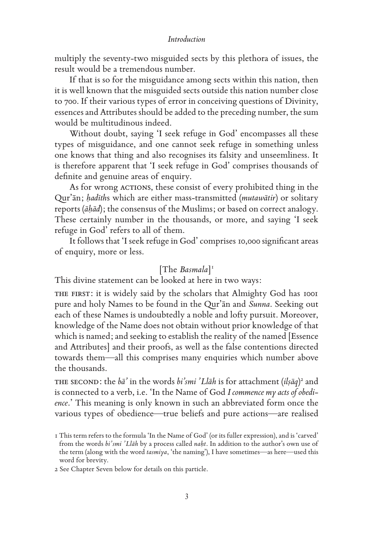#### *Introduction*

multiply the seventy-two misguided sects by this plethora of issues, the result would be a tremendous number.

If that is so for the misguidance among sects within this nation, then it is well known that the misguided sects outside this nation number close to 700. If their various types of error in conceiving questions of Divinity, essences and Attributes should be added to the preceding number, the sum would be multitudinous indeed.

Without doubt, saying 'I seek refuge in God' encompasses all these types of misguidance, and one cannot seek refuge in something unless one knows that thing and also recognises its falsity and unseemliness. It is therefore apparent that 'I seek refuge in God' comprises thousands of defnite and genuine areas of enquiry.

As for wrong ACTIONS, these consist of every prohibited thing in the Qurʾān; *ḥadīth*s which are either mass-transmitted (*mutawātir*) or solitary reports (*āḥād*); the consensus of the Muslims; or based on correct analogy. These certainly number in the thousands, or more, and saying 'I seek refuge in God' refers to all of them.

It follows that 'I seek refuge in God' comprises 10,000 signifcant areas of enquiry, more or less.

# [The *Basmala*] 1

This divine statement can be looked at here in two ways:

THE FIRST: it is widely said by the scholars that Almighty God has 1001 pure and holy Names to be found in the Qurʾān and *Sunna*. Seeking out each of these Names is undoubtedly a noble and lofty pursuit. Moreover, knowledge of the Name does not obtain without prior knowledge of that which is named; and seeking to establish the reality of the named [Essence and Attributes] and their proofs, as well as the false contentions directed towards them—all this comprises many enquiries which number above the thousands.

the second: the *bāʾ* in the words *bi'smi 'Llāh* is for attachment (*ilṣāq*) 2 and is connected to a verb, i.e. 'In the Name of God *I commence my acts of obedience*.' This meaning is only known in such an abbreviated form once the various types of obedience—true beliefs and pure actions—are realised

2 See Chapter Seven below for details on this particle.

<sup>1</sup> This term refers to the formula 'In the Name of God' (or its fuller expression), and is 'carved' from the words *bi'smi 'Llāh* by a process called *naḥt*. In addition to the author's own use of the term (along with the word *tasmiya*, 'the naming'), I have sometimes—as here—used this word for brevity.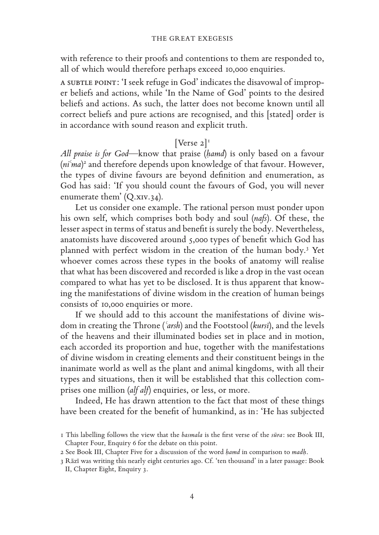with reference to their proofs and contentions to them are responded to, all of which would therefore perhaps exceed 10,000 enquiries.

a subtlepoint: 'I seek refuge in God' indicates the disavowal of improper beliefs and actions, while 'In the Name of God' points to the desired beliefs and actions. As such, the latter does not become known until all correct beliefs and pure actions are recognised, and this [stated] order is in accordance with sound reason and explicit truth.

# [Verse  $2$ ]<sup>1</sup>

*All praise is for God*—know that praise (*ḥamd*) is only based on a favour (*niʿma*) 2 and therefore depends upon knowledge of that favour. However, the types of divine favours are beyond defnition and enumeration, as God has said: 'If you should count the favours of God, you will never enumerate them'  $(Q.xiv.34)$ .

Let us consider one example. The rational person must ponder upon his own self, which comprises both body and soul (*nafs*). Of these, the lesser aspect in terms of status and beneft is surely the body. Nevertheless, anatomists have discovered around 5,000 types of beneft which God has planned with perfect wisdom in the creation of the human body.<sup>3</sup> Yet whoever comes across these types in the books of anatomy will realise that what has been discovered and recorded is like a drop in the vast ocean compared to what has yet to be disclosed. It is thus apparent that knowing the manifestations of divine wisdom in the creation of human beings consists of 10,000 enquiries or more.

If we should add to this account the manifestations of divine wisdom in creating the Throne (*ʿarsh*) and the Footstool (*kursī*), and the levels of the heavens and their illuminated bodies set in place and in motion, each accorded its proportion and hue, together with the manifestations of divine wisdom in creating elements and their constituent beings in the inanimate world as well as the plant and animal kingdoms, with all their types and situations, then it will be established that this collection comprises one million (*alf alf*) enquiries, or less, or more.

Indeed, He has drawn attention to the fact that most of these things have been created for the beneft of humankind, as in: 'He has subjected

<sup>1</sup> This labelling follows the view that the *basmala* is the frst verse of the *sūra*: see Book III, Chapter Four, Enquiry 6 for the debate on this point.

<sup>2</sup> See Book III, Chapter Five for a discussion of the word *ḥamd* in comparison to *madḥ*.

<sup>3</sup> Rāzī was writing this nearly eight centuries ago. Cf. 'ten thousand' in a later passage: Book II, Chapter Eight, Enquiry 3.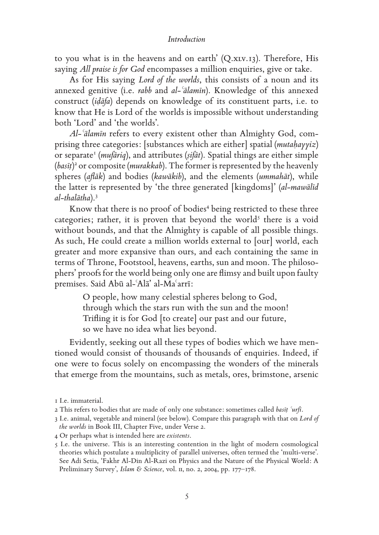#### *Introduction*

to you what is in the heavens and on earth' (Q.xLV.13). Therefore, His saying *All praise is for God* encompasses a million enquiries, give or take.

As for His saying *Lord of the worlds*, this consists of a noun and its annexed genitive (i.e. *rabb* and *al-ʿālamīn*). Knowledge of this annexed construct (*iḍāfa*) depends on knowledge of its constituent parts, i.e. to know that He is Lord of the worlds is impossible without understanding both 'Lord' and 'the worlds'.

*Al-ʿālamīn* refers to every existent other than Almighty God, comprising three categories: [substances which are either] spatial (*mutaḥayyiz*) or separate<sup>1</sup> (*mufāriq*), and attributes (sifāt). Spatial things are either simple (*basīṭ*) <sup>2</sup> or composite (*murakkab*). The former is represented by the heavenly spheres (*afāk*) and bodies (*kawākib*), and the elements (*ummahāt*), while the latter is represented by 'the three generated [kingdoms]' (*al-mawālīd al-thalātha*).<sup>3</sup>

Know that there is no proof of bodies<sup>4</sup> being restricted to these three categories; rather, it is proven that beyond the world<sup>5</sup> there is a void without bounds, and that the Almighty is capable of all possible things. As such, He could create a million worlds external to [our] world, each greater and more expansive than ours, and each containing the same in terms of Throne, Footstool, heavens, earths, sun and moon. The philosophers' proofs for the world being only one are fimsy and built upon faulty premises. Said Abū al-ʿAlāʾ al-Maʿarrī:

> O people, how many celestial spheres belong to God, through which the stars run with the sun and the moon! Trifing it is for God [to create] our past and our future, so we have no idea what lies beyond.

Evidently, seeking out all these types of bodies which we have mentioned would consist of thousands of thousands of enquiries. Indeed, if one were to focus solely on encompassing the wonders of the minerals that emerge from the mountains, such as metals, ores, brimstone, arsenic

<sup>1</sup> I.e. immaterial.

<sup>2</sup> This refers to bodies that are made of only one substance: sometimes called *basīṭ ʿurfī*.

<sup>3</sup> I.e. animal, vegetable and mineral (see below). Compare this paragraph with that on *Lord of the worlds* in Book III, Chapter Five, under Verse 2.

<sup>4</sup> Or perhaps what is intended here are *existents*.

<sup>5</sup> I.e. the universe. This is an interesting contention in the light of modern cosmological theories which postulate a multiplicity of parallel universes, often termed the 'multi-verse'. See Adi Setia, 'Fakhr Al-Din Al-Razi on Physics and the Nature of the Physical World: A Preliminary Survey', *Islam & Science*, vol. ii, no. 2, 2004, pp. 177–178.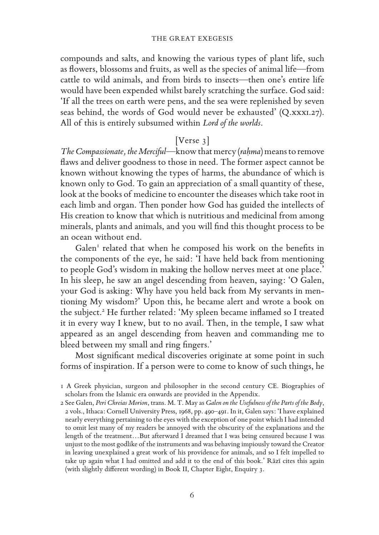#### THE GREAT EXEGESIS

compounds and salts, and knowing the various types of plant life, such as fowers, blossoms and fruits, as well as the species of animal life—from cattle to wild animals, and from birds to insects—then one's entire life would have been expended whilst barely scratching the surface. God said: 'If all the trees on earth were pens, and the sea were replenished by seven seas behind, the words of God would never be exhausted' (Q.xxxi.27). All of this is entirely subsumed within *Lord of the worlds*.

#### $|V$ erse 3 $|$

*The Compassionate, the Merciful*—know that mercy (*raḥma*) means to remove faws and deliver goodness to those in need. The former aspect cannot be known without knowing the types of harms, the abundance of which is known only to God. To gain an appreciation of a small quantity of these, look at the books of medicine to encounter the diseases which take root in each limb and organ. Then ponder how God has guided the intellects of His creation to know that which is nutritious and medicinal from among minerals, plants and animals, and you will fnd this thought process to be an ocean without end.

Galen<sup>1</sup> related that when he composed his work on the benefits in the components of the eye, he said: 'I have held back from mentioning to people God's wisdom in making the hollow nerves meet at one place.' In his sleep, he saw an angel descending from heaven, saying: 'O Galen, your God is asking: Why have you held back from My servants in mentioning My wisdom?' Upon this, he became alert and wrote a book on the subject.<sup>2</sup> He further related: 'My spleen became inflamed so I treated it in every way I knew, but to no avail. Then, in the temple, I saw what appeared as an angel descending from heaven and commanding me to bleed between my small and ring fngers.'

Most signifcant medical discoveries originate at some point in such forms of inspiration. If a person were to come to know of such things, he

<sup>1</sup> A Greek physician, surgeon and philosopher in the second century CE. Biographies of scholars from the Islamic era onwards are provided in the Appendix.

<sup>2</sup> See Galen, *Peri Chreias Morion*, trans. M. T. May as *Galen on the Usefulness of the Parts of the Body*, 2 vols., Ithaca: Cornell University Press, 1968, pp. 490–491. In it, Galen says: 'I have explained nearly everything pertaining to the eyes with the exception of one point which I had intended to omit lest many of my readers be annoyed with the obscurity of the explanations and the length of the treatment…But afterward I dreamed that I was being censured because I was unjust to the most godlike of the instruments and was behaving impiously toward the Creator in leaving unexplained a great work of his providence for animals, and so I felt impelled to take up again what I had omitted and add it to the end of this book.' Rāzī cites this again (with slightly diferent wording) in Book II, Chapter Eight, Enquiry 3.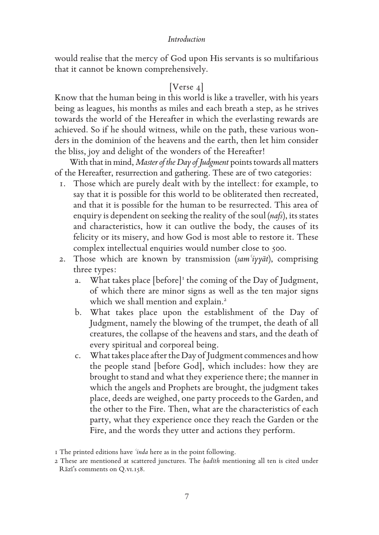#### *Introduction*

would realise that the mercy of God upon His servants is so multifarious that it cannot be known comprehensively.

### [Verse 4]

Know that the human being in this world is like a traveller, with his years being as leagues, his months as miles and each breath a step, as he strives towards the world of the Hereafter in which the everlasting rewards are achieved. So if he should witness, while on the path, these various wonders in the dominion of the heavens and the earth, then let him consider the bliss, joy and delight of the wonders of the Hereafter!

With that in mind, *Master of the Day of Judgment* points towards all matters of the Hereafter, resurrection and gathering. These are of two categories:

- 1. Those which are purely dealt with by the intellect: for example, to say that it is possible for this world to be obliterated then recreated, and that it is possible for the human to be resurrected. This area of enquiry is dependent on seeking the reality of the soul (*nafs*), its states and characteristics, how it can outlive the body, the causes of its felicity or its misery, and how God is most able to restore it. These complex intellectual enquiries would number close to 500.
- 2. Those which are known by transmission (*samʿiyyāt*), comprising three types:
	- a. What takes place [before]<sup>1</sup> the coming of the Day of Judgment, of which there are minor signs as well as the ten major signs which we shall mention and explain.<sup>2</sup>
	- b. What takes place upon the establishment of the Day of Judgment, namely the blowing of the trumpet, the death of all creatures, the collapse of the heavens and stars, and the death of every spiritual and corporeal being.
	- c. What takes place after the Day of Judgment commences and how the people stand [before God], which includes: how they are brought to stand and what they experience there; the manner in which the angels and Prophets are brought, the judgment takes place, deeds are weighed, one party proceeds to the Garden, and the other to the Fire. Then, what are the characteristics of each party, what they experience once they reach the Garden or the Fire, and the words they utter and actions they perform.

<sup>1</sup> The printed editions have *ʿinda* here as in the point following.

<sup>2</sup> These are mentioned at scattered junctures. The *ḥadīth* mentioning all ten is cited under Rāzī's comments on Q.vi.158.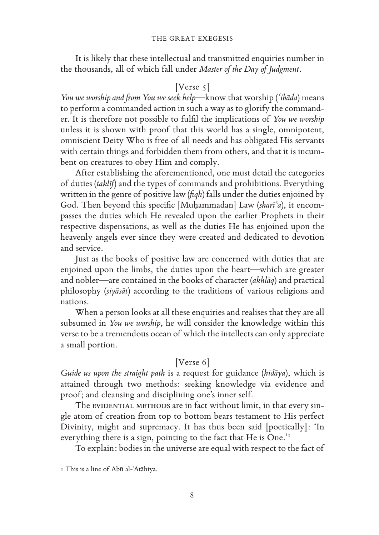It is likely that these intellectual and transmitted enquiries number in the thousands, all of which fall under *Master of the Day of Judgment*.

#### $[Vertex \; 5]$

*You we worship and from You we seek help*—know that worship (*ʿibāda*) means to perform a commanded action in such a way as to glorify the commander. It is therefore not possible to fulfl the implications of *You we worship* unless it is shown with proof that this world has a single, omnipotent, omniscient Deity Who is free of all needs and has obligated His servants with certain things and forbidden them from others, and that it is incumbent on creatures to obey Him and comply.

After establishing the aforementioned, one must detail the categories of duties (*taklīf*) and the types of commands and prohibitions. Everything written in the genre of positive law (*fqh*) falls under the duties enjoined by God. Then beyond this specifc [Muḥammadan] Law (*sharīʿa*), it encompasses the duties which He revealed upon the earlier Prophets in their respective dispensations, as well as the duties He has enjoined upon the heavenly angels ever since they were created and dedicated to devotion and service.

Just as the books of positive law are concerned with duties that are enjoined upon the limbs, the duties upon the heart—which are greater and nobler—are contained in the books of character (*akhlāq*) and practical philosophy (*siyāsāt*) according to the traditions of various religions and nations.

When a person looks at all these enquiries and realises that they are all subsumed in *You we worship*, he will consider the knowledge within this verse to be a tremendous ocean of which the intellects can only appreciate a small portion.

#### [Verse 6]

*Guide us upon the straight path* is a request for guidance (*hidāya*), which is attained through two methods: seeking knowledge via evidence and proof; and cleansing and disciplining one's inner self.

The EVIDENTIAL METHODS are in fact without limit, in that every single atom of creation from top to bottom bears testament to His perfect Divinity, might and supremacy. It has thus been said [poetically]: 'In everything there is a sign, pointing to the fact that He is One.'<sup>1</sup>

To explain: bodies in the universe are equal with respect to the fact of

<sup>1</sup> This is a line of Abū al-ʿAtāhiya.